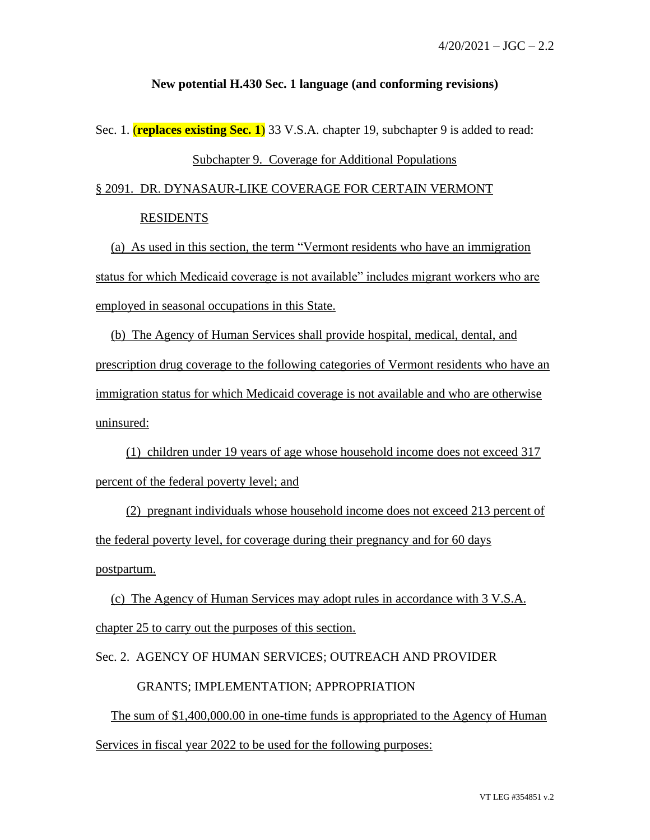## **New potential H.430 Sec. 1 language (and conforming revisions)**

Sec. 1. (**replaces existing Sec. 1**) 33 V.S.A. chapter 19, subchapter 9 is added to read:

## Subchapter 9. Coverage for Additional Populations

## § 2091. DR. DYNASAUR-LIKE COVERAGE FOR CERTAIN VERMONT RESIDENTS

(a) As used in this section, the term "Vermont residents who have an immigration status for which Medicaid coverage is not available" includes migrant workers who are employed in seasonal occupations in this State.

(b) The Agency of Human Services shall provide hospital, medical, dental, and prescription drug coverage to the following categories of Vermont residents who have an immigration status for which Medicaid coverage is not available and who are otherwise uninsured:

(1) children under 19 years of age whose household income does not exceed 317 percent of the federal poverty level; and

(2) pregnant individuals whose household income does not exceed 213 percent of the federal poverty level, for coverage during their pregnancy and for 60 days postpartum.

(c) The Agency of Human Services may adopt rules in accordance with 3 V.S.A. chapter 25 to carry out the purposes of this section.

Sec. 2. AGENCY OF HUMAN SERVICES; OUTREACH AND PROVIDER

## GRANTS; IMPLEMENTATION; APPROPRIATION

The sum of \$1,400,000.00 in one-time funds is appropriated to the Agency of Human Services in fiscal year 2022 to be used for the following purposes: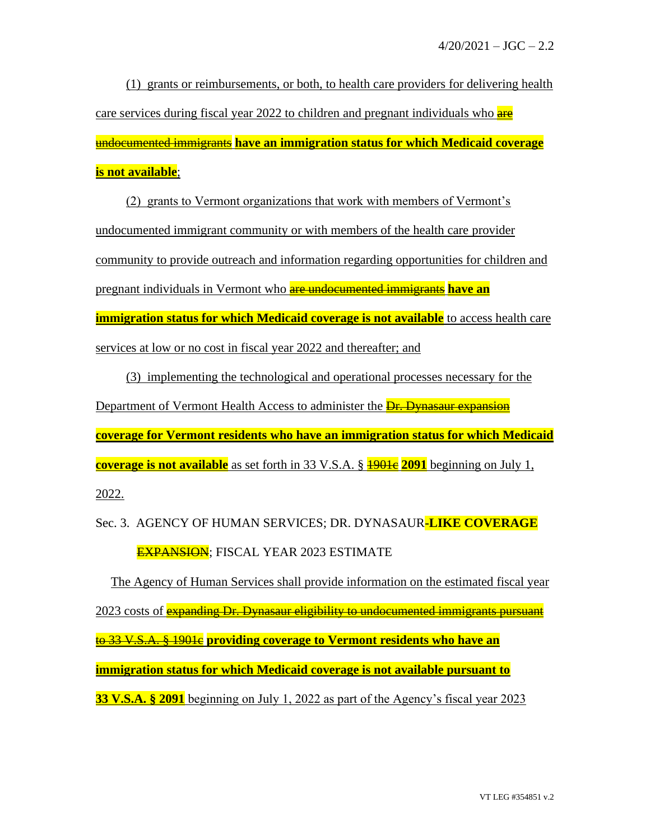(1) grants or reimbursements, or both, to health care providers for delivering health care services during fiscal year 2022 to children and pregnant individuals who are undocumented immigrants **have an immigration status for which Medicaid coverage is not available**;

(2) grants to Vermont organizations that work with members of Vermont's undocumented immigrant community or with members of the health care provider community to provide outreach and information regarding opportunities for children and pregnant individuals in Vermont who are undocumented immigrants **have an immigration status for which Medicaid coverage is not available** to access health care services at low or no cost in fiscal year 2022 and thereafter; and

(3) implementing the technological and operational processes necessary for the Department of Vermont Health Access to administer the **Dr. Dynasaur expansion coverage for Vermont residents who have an immigration status for which Medicaid coverage is not available** as set forth in 33 V.S.A. § **1901e 2091** beginning on July 1, 2022.

Sec. 3. AGENCY OF HUMAN SERVICES; DR. DYNASAUR**-LIKE COVERAGE** EXPANSION; FISCAL YEAR 2023 ESTIMATE

The Agency of Human Services shall provide information on the estimated fiscal year 2023 costs of **expanding Dr. Dynasaur eligibility to undocumented immigrants pursuant** to 33 V.S.A. § 1901c **providing coverage to Vermont residents who have an immigration status for which Medicaid coverage is not available pursuant to 33 V.S.A. § 2091** beginning on July 1, 2022 as part of the Agency's fiscal year 2023